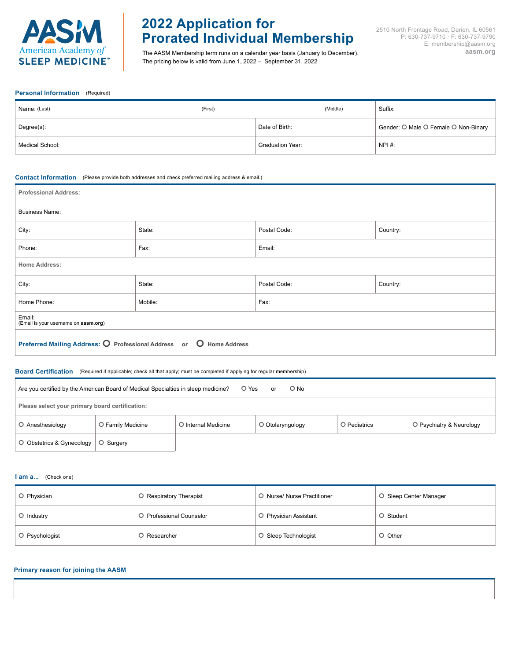

# **2022 Application for Prorated Individual Membership**

The AASM Membership term runs on a calendar year basis (January to December). The pricing below is valid from June 1, 2022 – September 31, 2022

#### **Personal Information** (Required)

| Name: (Last)    | (Middle)<br>(First) |                         | Suffix:                              |
|-----------------|---------------------|-------------------------|--------------------------------------|
| Degree(s):      |                     | Date of Birth:          | Gender: O Male O Female O Non-Binary |
| Medical School: |                     | <b>Graduation Year:</b> | NPI #:                               |

# **Contact Information** (Please provide both addresses and check preferred mailing address & email.)

| <b>Professional Address:</b>                                        |         |              |          |
|---------------------------------------------------------------------|---------|--------------|----------|
| <b>Business Name:</b>                                               |         |              |          |
| City:                                                               | State:  | Postal Code: | Country: |
| Phone:                                                              | Fax:    | Email:       |          |
| <b>Home Address:</b>                                                |         |              |          |
| City:                                                               | State:  | Postal Code: | Country: |
| Home Phone:                                                         | Mobile: | Fax:         |          |
| Email:<br>(Email is your username on aasm.org)                      |         |              |          |
| Preferred Mailing Address: O Professional Address or O Home Address |         |              |          |

# **Board Certification** (Required if applicable; check all that apply; must be completed if applying for regular membership)

| Are you certified by the American Board of Medical Specialties in sleep medicine?<br>O Yes<br>O No<br>or |                   |                     |                  |              |                          |
|----------------------------------------------------------------------------------------------------------|-------------------|---------------------|------------------|--------------|--------------------------|
| Please select your primary board certification:                                                          |                   |                     |                  |              |                          |
| O Anesthesiology                                                                                         | O Family Medicine | O Internal Medicine | O Otolaryngology | O Pediatrics | O Psychiatry & Neurology |
| O Obstetrics & Gynecology                                                                                | O Surgery         |                     |                  |              |                          |

## **I am a...** (Check one)

| O Physician    | O Respiratory Therapist  | O Nurse/ Nurse Practitioner | O Sleep Center Manager |
|----------------|--------------------------|-----------------------------|------------------------|
| O Industry     | O Professional Counselor | O Physician Assistant       | O Student              |
| O Psychologist | O Researcher             | O Sleep Technologist        | O Other                |

## **Primary reason for joining the AASM**